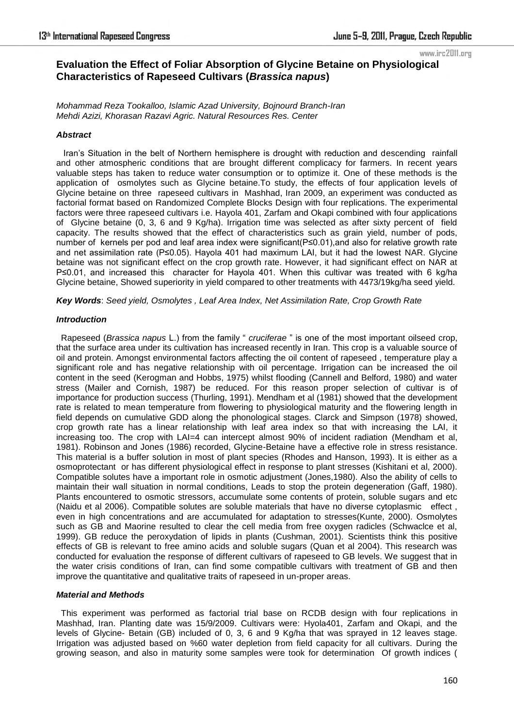# **Evaluation the Effect of Foliar Absorption of Glycine Betaine on Physiological Characteristics of Rapeseed Cultivars (***Brassica napus***)**

*Mohammad Reza Tookalloo, Islamic Azad University, Bojnourd Branch-Iran Mehdi Azizi, Khorasan Razavi Agric. Natural Resources Res. Center* 

## *Abstract*

 Iran's Situation in the belt of Northern hemisphere is drought with reduction and descending rainfall and other atmospheric conditions that are brought different complicacy for farmers. In recent years valuable steps has taken to reduce water consumption or to optimize it. One of these methods is the application of osmolytes such as Glycine betaine.To study, the effects of four application levels of Glycine betaine on three rapeseed cultivars in Mashhad, Iran 2009, an experiment was conducted as factorial format based on Randomized Complete Blocks Design with four replications. The experimental factors were three rapeseed cultivars i.e. Hayola 401, Zarfam and Okapi combined with four applications of Glycine betaine (0, 3, 6 and 9 Kg/ha). Irrigation time was selected as after sixty percent of field capacity. The results showed that the effect of characteristics such as grain yield, number of pods, number of kernels per pod and leaf area index were significant(P≤0.01),and also for relative growth rate and net assimilation rate (P≤0.05). Hayola 401 had maximum LAI, but it had the lowest NAR. Glycine betaine was not significant effect on the crop growth rate. However, it had significant effect on NAR at P≤0.01, and increased this character for Hayola 401. When this cultivar was treated with 6 kg/ha Glycine betaine, Showed superiority in yield compared to other treatments with 4473/19kg/ha seed yield.

*Key Words*: *Seed yield, Osmolytes , Leaf Area Index, Net Assimilation Rate, Crop Growth Rate* 

## *Introduction*

Rapeseed (*Brassica napus L.*) from the family " *cruciferae* " is one of the most important oilseed crop, that the surface area under its cultivation has increased recently in Iran. This crop is a valuable source of oil and protein. Amongst environmental factors affecting the oil content of rapeseed , temperature play a significant role and has negative relationship with oil percentage. Irrigation can be increased the oil content in the seed (Kerogman and Hobbs, 1975) whilst flooding (Cannell and Belford, 1980) and water stress (Mailer and Cornish, 1987) be reduced. For this reason proper selection of cultivar is of importance for production success (Thurling, 1991). Mendham et al (1981) showed that the development rate is related to mean temperature from flowering to physiological maturity and the flowering length in field depends on cumulative GDD along the phonological stages. Clarck and Simpson (1978) showed, crop growth rate has a linear relationship with leaf area index so that with increasing the LAI, it increasing too. The crop with LAI=4 can intercept almost 90% of incident radiation (Mendham et al, 1981). Robinson and Jones (1986) recorded, Glycine-Betaine have a effective role in stress resistance. This material is a buffer solution in most of plant species (Rhodes and Hanson, 1993). It is either as a osmoprotectant or has different physiological effect in response to plant stresses (Kishitani et al, 2000). Compatible solutes have a important role in osmotic adjustment (Jones,1980). Also the ability of cells to maintain their wall situation in normal conditions, Leads to stop the protein degeneration (Gaff, 1980). Plants encountered to osmotic stressors, accumulate some contents of protein, soluble sugars and etc (Naidu et al 2006). Compatible solutes are soluble materials that have no diverse cytoplasmic effect , even in high concentrations and are accumulated for adaptation to stresses(Kunte, 2000). Osmolytes such as GB and Maorine resulted to clear the cell media from free oxygen radicles (Schwaclce et al, 1999). GB reduce the peroxydation of lipids in plants (Cushman, 2001). Scientists think this positive effects of GB is relevant to free amino acids and soluble sugars (Quan et al 2004). This research was conducted for evaluation the response of different cultivars of rapeseed to GB levels. We suggest that in the water crisis conditions of Iran, can find some compatible cultivars with treatment of GB and then improve the quantitative and qualitative traits of rapeseed in un-proper areas.

## *Material and Methods*

 This experiment was performed as factorial trial base on RCDB design with four replications in Mashhad, Iran. Planting date was 15/9/2009. Cultivars were: Hyola401, Zarfam and Okapi, and the levels of Glycine- Betain (GB) included of 0, 3, 6 and 9 Kg/ha that was sprayed in 12 leaves stage. Irrigation was adjusted based on %60 water depletion from field capacity for all cultivars. During the growing season, and also in maturity some samples were took for determination Of growth indices (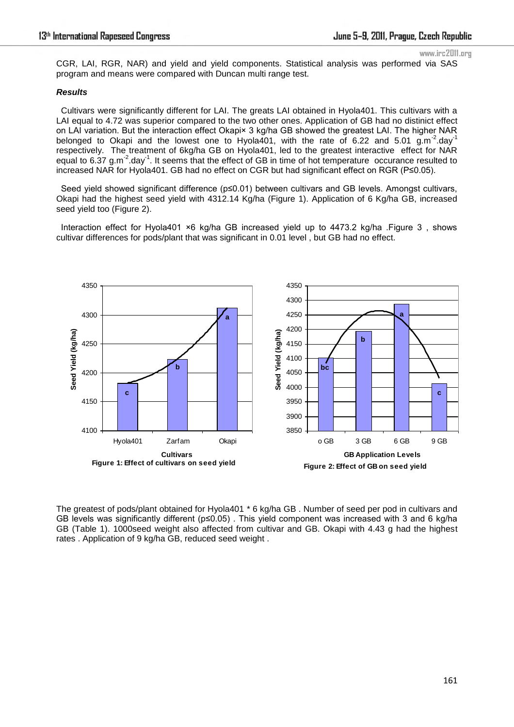CGR, LAI, RGR, NAR) and yield and yield components. Statistical analysis was performed via SAS program and means were compared with Duncan multi range test.

#### *Results*

 Cultivars were significantly different for LAI. The greats LAI obtained in Hyola401. This cultivars with a LAI equal to 4.72 was superior compared to the two other ones. Application of GB had no distinict effect on LAI variation. But the interaction effect Okapi× 3 kg/ha GB showed the greatest LAI. The higher NAR belonged to Okapi and the lowest one to Hyola401, with the rate of 6.22 and 5.01 g.m<sup>-2</sup>.day<sup>-1</sup> respectively. The treatment of 6kg/ha GB on Hyola401, led to the greatest interactive effect for NAR equal to 6.37 g.m<sup>-2</sup>.day<sup>-1</sup>. It seems that the effect of GB in time of hot temperature occurance resulted to increased NAR for Hyola401. GB had no effect on CGR but had significant effect on RGR (P≤0.05).

 Seed yield showed significant difference (p≤0.01) between cultivars and GB levels. Amongst cultivars, Okapi had the highest seed yield with 4312.14 Kg/ha (Figure 1). Application of 6 Kg/ha GB, increased seed yield too (Figure 2).

 Interaction effect for Hyola401 ×6 kg/ha GB increased yield up to 4473.2 kg/ha .Figure 3 , shows cultivar differences for pods/plant that was significant in 0.01 level , but GB had no effect.



The greatest of pods/plant obtained for Hyola401 \* 6 kg/ha GB . Number of seed per pod in cultivars and GB levels was significantly different ( $p \le 0.05$ ). This yield component was increased with 3 and 6 kg/ha GB (Table 1). 1000seed weight also affected from cultivar and GB. Okapi with 4.43 g had the highest rates . Application of 9 kg/ha GB, reduced seed weight .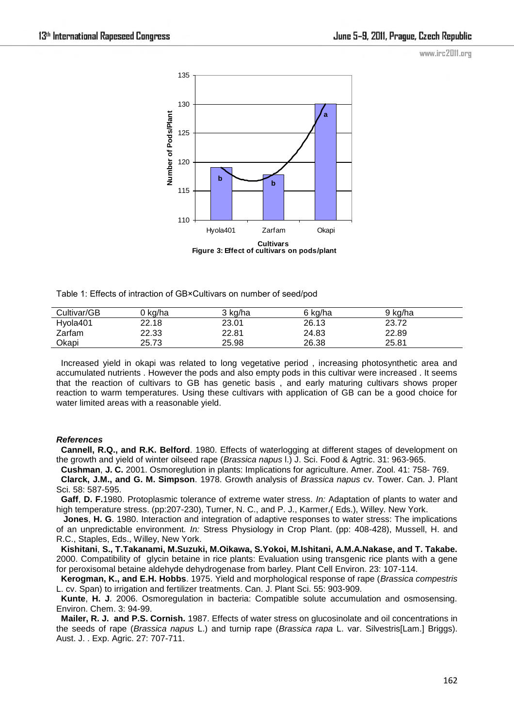

Table 1: Effects of intraction of GB×Cultivars on number of seed/pod

| Cultivar/GB | 0 ka/ha | 3 ka/ha | 6 ka/ha | 9 ka/ha |  |
|-------------|---------|---------|---------|---------|--|
| Hyola401    | 22.18   | 23.01   | 26.13   | 23.72   |  |
| Zarfam      | 22.33   | 22.81   | 24.83   | 22.89   |  |
| Okapi       | 25.73   | 25.98   | 26.38   | 25.81   |  |

 Increased yield in okapi was related to long vegetative period , increasing photosynthetic area and accumulated nutrients . However the pods and also empty pods in this cultivar were increased . It seems that the reaction of cultivars to GB has genetic basis , and early maturing cultivars shows proper reaction to warm temperatures. Using these cultivars with application of GB can be a good choice for water limited areas with a reasonable yield.

#### *References*

 **Cannell, R.Q., and R.K. Belford**. 1980. Effects of waterlogging at different stages of development on the growth and yield of winter oilseed rape (*Brassica napus* l.) J. Sci. Food & Agtric. 31: 963-965.

 **Cushman**, **J. C.** 2001. Osmoreglution in plants: Implications for agriculture. Amer. Zool. 41: 758- 769. **Clarck, J.M., and G. M. Simpson**. 1978. Growth analysis of *Brassica napus* cv. Tower. Can. J. Plant Sci. 58: 587-595.

 **Gaff**, **D. F.**1980. Protoplasmic tolerance of extreme water stress. *In:* Adaptation of plants to water and high temperature stress. (pp:207-230), Turner, N. C., and P. J., Karmer,( Eds.), Willey. New York.

 **Jones**, **H. G**. 1980. Interaction and integration of adaptive responses to water stress: The implications of an unpredictable environment*. In:* Stress Physiology in Crop Plant. (pp: 408-428), Mussell, H. and R.C., Staples, Eds., Willey, New York.

 **Kishitani**, **S., T.Takanami, M.Suzuki, M.Oikawa, S.Yokoi, M.Ishitani, A.M.A.Nakase, and T. Takabe.** 2000. Compatibility of glycin betaine in rice plants: Evaluation using transgenic rice plants with a gene for peroxisomal betaine aldehyde dehydrogenase from barley. Plant Cell Environ. 23: 107-114.

 **Kerogman, K., and E.H. Hobbs**. 1975. Yield and morphological response of rape (*Brassica compestris* L. cv. Span) to irrigation and fertilizer treatments. Can. J. Plant Sci. 55: 903-909.

 **Kunte**, **H. J**. 2006. Osmoregulation in bacteria: Compatible solute accumulation and osmosensing. Environ. Chem. 3: 94-99.

 **Mailer, R. J. and P.S. Cornish.** 1987. Effects of water stress on glucosinolate and oil concentrations in the seeds of rape (*Brassica napus* L.) and turnip rape (*Brassica rapa* L. var. Silvestris[Lam.] Briggs). Aust. J. . Exp. Agric. 27: 707-711.